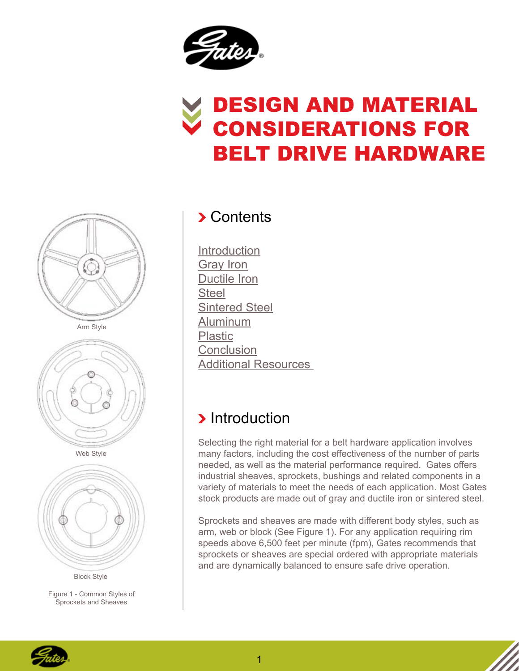

# Design and Material Considerations for Belt Drive Hardware





Web Style



Block Style

Figure 1 - Common Styles of Sprockets and Sheaves

#### **>** Contents

**Introduction** [Gray Iron](#page-1-0) [Ductile Iron](#page-1-0) **[Steel](#page-2-0)** [Sintered Steel](#page-2-0) [Aluminum](#page-3-0) [Plastic](#page-4-0) **[Conclusion](#page-5-0)** [Additional Resources](#page-5-0)

## **Introduction**

Selecting the right material for a belt hardware application involves many factors, including the cost effectiveness of the number of parts needed, as well as the material performance required. Gates offers industrial sheaves, sprockets, bushings and related components in a variety of materials to meet the needs of each application. Most Gates stock products are made out of gray and ductile iron or sintered steel.

Sprockets and sheaves are made with different body styles, such as arm, web or block (See Figure 1). For any application requiring rim speeds above 6,500 feet per minute (fpm), Gates recommends that sprockets or sheaves are special ordered with appropriate materials and are dynamically balanced to ensure safe drive operation.

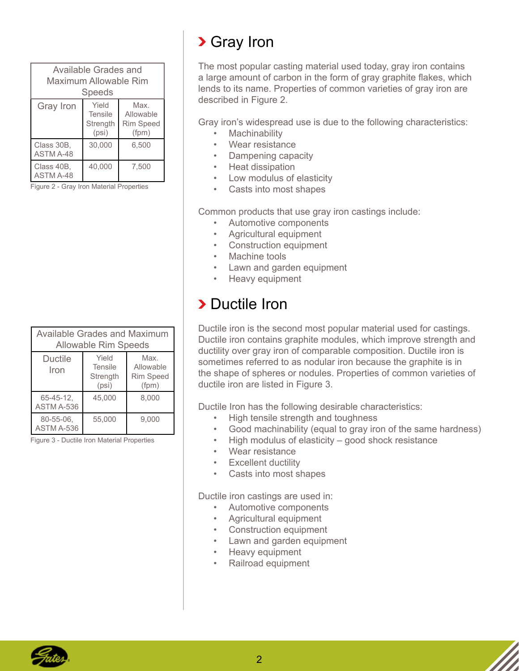<span id="page-1-0"></span>

| Available Grades and<br>Maximum Allowable Rim<br><b>Speeds</b> |                                              |                                                |  |  |
|----------------------------------------------------------------|----------------------------------------------|------------------------------------------------|--|--|
| Gray Iron                                                      | Yield<br><b>Tensile</b><br>Strength<br>(psi) | Max.<br>Allowable<br><b>Rim Speed</b><br>(fpm) |  |  |
| Class 30B,<br><b>ASTM A-48</b>                                 | 30,000                                       | 6.500                                          |  |  |
| Class 40B,<br><b>ASTM A-48</b>                                 | 40,000                                       | 7,500                                          |  |  |

Figure 2 - Gray Iron Material Properties

| Available Grades and Maximum<br><b>Allowable Rim Speeds</b> |                                              |                                                |  |  |
|-------------------------------------------------------------|----------------------------------------------|------------------------------------------------|--|--|
| <b>Ductile</b><br>Iron                                      | Yield<br><b>Tensile</b><br>Strength<br>(psi) | Max.<br>Allowable<br><b>Rim Speed</b><br>(fpm) |  |  |
| 65-45-12.<br>ASTM A-536                                     | 45.000                                       | 8.000                                          |  |  |
| 80-55-06.<br>ASTM A-536                                     | 55,000                                       | 9.000                                          |  |  |

Figure 3 - Ductile Iron Material Properties

# Gray Iron

The most popular casting material used today, gray iron contains a large amount of carbon in the form of gray graphite flakes, which lends to its name. Properties of common varieties of gray iron are described in Figure 2.

Gray iron's widespread use is due to the following characteristics:

- **Machinability**
- Wear resistance
- Dampening capacity
- Heat dissipation
- Low modulus of elasticity
- Casts into most shapes

Common products that use gray iron castings include:

- Automotive components
- Agricultural equipment
- Construction equipment
- Machine tools
- Lawn and garden equipment
- Heavy equipment

### **>** Ductile Iron

Ductile iron is the second most popular material used for castings. Ductile iron contains graphite modules, which improve strength and ductility over gray iron of comparable composition. Ductile iron is sometimes referred to as nodular iron because the graphite is in the shape of spheres or nodules. Properties of common varieties of ductile iron are listed in Figure 3.

Ductile Iron has the following desirable characteristics:

- High tensile strength and toughness
- Good machinability (equal to gray iron of the same hardness)
- High modulus of elasticity good shock resistance
- Wear resistance
- Excellent ductility
- Casts into most shapes

Ductile iron castings are used in:

- Automotive components
- Agricultural equipment
- Construction equipment
- Lawn and garden equipment
- Heavy equipment
- Railroad equipment

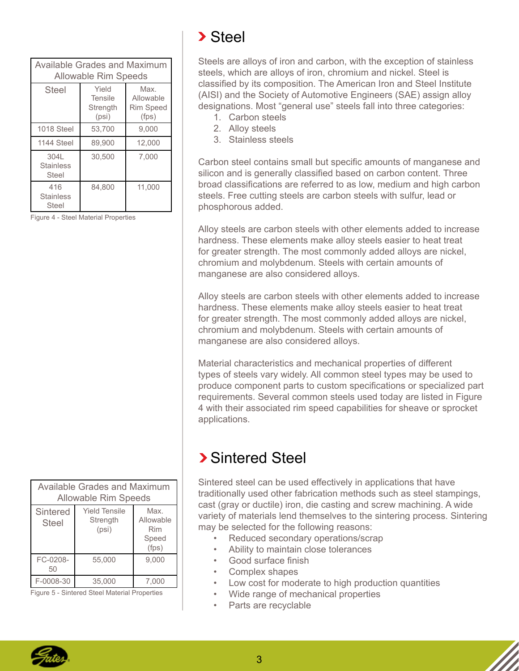<span id="page-2-0"></span>

| <b>Available Grades and Maximum</b><br><b>Allowable Rim Speeds</b> |                                       |                                                |  |  |
|--------------------------------------------------------------------|---------------------------------------|------------------------------------------------|--|--|
| Steel                                                              | Yield<br>Tensile<br>Strength<br>(psi) | Max.<br>Allowable<br><b>Rim Speed</b><br>(fps) |  |  |
| 1018 Steel                                                         | 53,700                                | 9,000                                          |  |  |
| 1144 Steel                                                         | 89,900                                | 12,000                                         |  |  |
| 304L<br><b>Stainless</b><br>Steel                                  | 30,500                                | 7,000                                          |  |  |
| 416<br><b>Stainless</b><br>Steel                                   | 84,800                                | 11,000                                         |  |  |

Figure 4 - Steel Material Properties

| Available Grades and Maximum<br><b>Allowable Rim Speeds</b> |                                           |                                            |  |
|-------------------------------------------------------------|-------------------------------------------|--------------------------------------------|--|
| Sintered<br>Steel                                           | <b>Yield Tensile</b><br>Strength<br>(psi) | Max.<br>Allowable<br>Rim<br>Speed<br>(fps) |  |
| FC-0208-<br>50                                              | 55.000                                    | 9.000                                      |  |
| F-0008-30                                                   | 35,000                                    | 7,000                                      |  |

Figure 5 - Sintered Steel Material Properties

# > Steel

Steels are alloys of iron and carbon, with the exception of stainless steels, which are alloys of iron, chromium and nickel. Steel is classified by its composition. The American Iron and Steel Institute (AISI) and the Society of Automotive Engineers (SAE) assign alloy designations. Most "general use" steels fall into three categories:

- 1. Carbon steels
- 2. Alloy steels
- 3. Stainless steels

Carbon steel contains small but specific amounts of manganese and silicon and is generally classified based on carbon content. Three broad classifications are referred to as low, medium and high carbon steels. Free cutting steels are carbon steels with sulfur, lead or phosphorous added.

Alloy steels are carbon steels with other elements added to increase hardness. These elements make alloy steels easier to heat treat for greater strength. The most commonly added alloys are nickel, chromium and molybdenum. Steels with certain amounts of manganese are also considered alloys.

Alloy steels are carbon steels with other elements added to increase hardness. These elements make alloy steels easier to heat treat for greater strength. The most commonly added alloys are nickel, chromium and molybdenum. Steels with certain amounts of manganese are also considered alloys.

Material characteristics and mechanical properties of different types of steels vary widely. All common steel types may be used to produce component parts to custom specifications or specialized part requirements. Several common steels used today are listed in Figure 4 with their associated rim speed capabilities for sheave or sprocket applications.

# Sintered Steel

Sintered steel can be used effectively in applications that have traditionally used other fabrication methods such as steel stampings, cast (gray or ductile) iron, die casting and screw machining. A wide variety of materials lend themselves to the sintering process. Sintering may be selected for the following reasons:

- Reduced secondary operations/scrap
- Ability to maintain close tolerances
- Good surface finish
- Complex shapes
- Low cost for moderate to high production quantities
- Wide range of mechanical properties
- Parts are recyclable

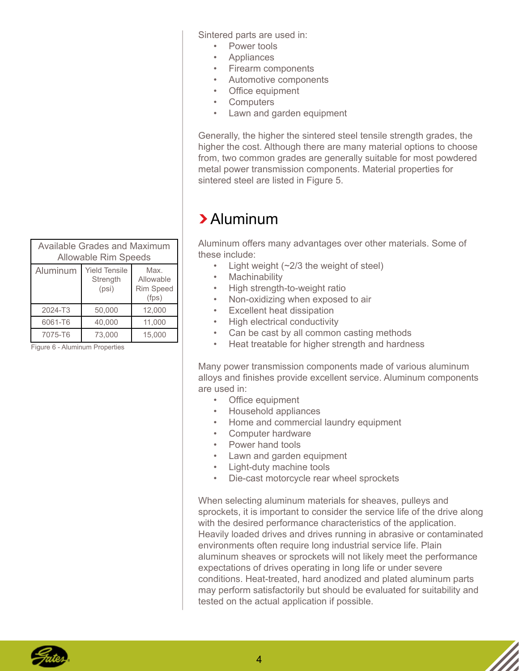| <b>Available Grades and Maximum</b><br><b>Allowable Rim Speeds</b> |                                           |                                                |  |
|--------------------------------------------------------------------|-------------------------------------------|------------------------------------------------|--|
| Aluminum                                                           | <b>Yield Tensile</b><br>Strength<br>(psi) | Max.<br>Allowable<br><b>Rim Speed</b><br>(fps) |  |
| 2024-T3                                                            | 50,000                                    | 12,000                                         |  |
| 6061-T6                                                            | 40,000                                    | 11,000                                         |  |
| 7075-T6                                                            | 73.000                                    | 15.000                                         |  |

Figure 6 - Aluminum Properties

<span id="page-3-0"></span>Sintered parts are used in:

- Power tools
- Appliances
- Firearm components
- Automotive components
- Office equipment
- Computers
- Lawn and garden equipment

Generally, the higher the sintered steel tensile strength grades, the higher the cost. Although there are many material options to choose from, two common grades are generally suitable for most powdered metal power transmission components. Material properties for sintered steel are listed in Figure 5.

#### Aluminum

Aluminum offers many advantages over other materials. Some of these include:

- Light weight (~2/3 the weight of steel)
- **Machinability**
- High strength-to-weight ratio
- Non-oxidizing when exposed to air
- Excellent heat dissipation
- High electrical conductivity
- Can be cast by all common casting methods
- Heat treatable for higher strength and hardness

Many power transmission components made of various aluminum alloys and finishes provide excellent service. Aluminum components are used in:

- Office equipment
- Household appliances
- Home and commercial laundry equipment
- Computer hardware
- Power hand tools
- Lawn and garden equipment
- Light-duty machine tools
- Die-cast motorcycle rear wheel sprockets

When selecting aluminum materials for sheaves, pulleys and sprockets, it is important to consider the service life of the drive along with the desired performance characteristics of the application. Heavily loaded drives and drives running in abrasive or contaminated environments often require long industrial service life. Plain aluminum sheaves or sprockets will not likely meet the performance expectations of drives operating in long life or under severe conditions. Heat-treated, hard anodized and plated aluminum parts may perform satisfactorily but should be evaluated for suitability and tested on the actual application if possible.

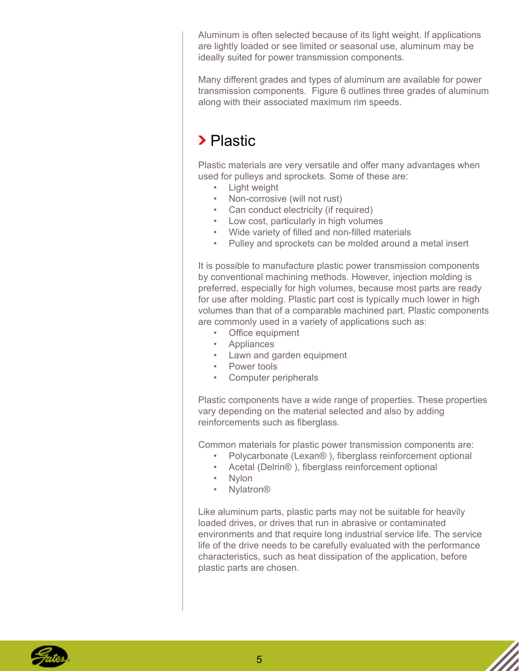<span id="page-4-0"></span>Aluminum is often selected because of its light weight. If applications are lightly loaded or see limited or seasonal use, aluminum may be ideally suited for power transmission components.

Many different grades and types of aluminum are available for power transmission components. Figure 6 outlines three grades of aluminum along with their associated maximum rim speeds.

### > Plastic

Plastic materials are very versatile and offer many advantages when used for pulleys and sprockets. Some of these are:

- Light weight
- Non-corrosive (will not rust)
- Can conduct electricity (if required)
- Low cost, particularly in high volumes
- Wide variety of filled and non-filled materials
- Pulley and sprockets can be molded around a metal insert

It is possible to manufacture plastic power transmission components by conventional machining methods. However, injection molding is preferred, especially for high volumes, because most parts are ready for use after molding. Plastic part cost is typically much lower in high volumes than that of a comparable machined part. Plastic components are commonly used in a variety of applications such as:

- Office equipment
- Appliances
- Lawn and garden equipment
- Power tools
- Computer peripherals

Plastic components have a wide range of properties. These properties vary depending on the material selected and also by adding reinforcements such as fiberglass.

Common materials for plastic power transmission components are:

- Polycarbonate (Lexan® ), fiberglass reinforcement optional
- Acetal (Delrin® ), fiberglass reinforcement optional
- Nylon
- Nylatron®

Like aluminum parts, plastic parts may not be suitable for heavily loaded drives, or drives that run in abrasive or contaminated environments and that require long industrial service life. The service life of the drive needs to be carefully evaluated with the performance characteristics, such as heat dissipation of the application, before plastic parts are chosen.